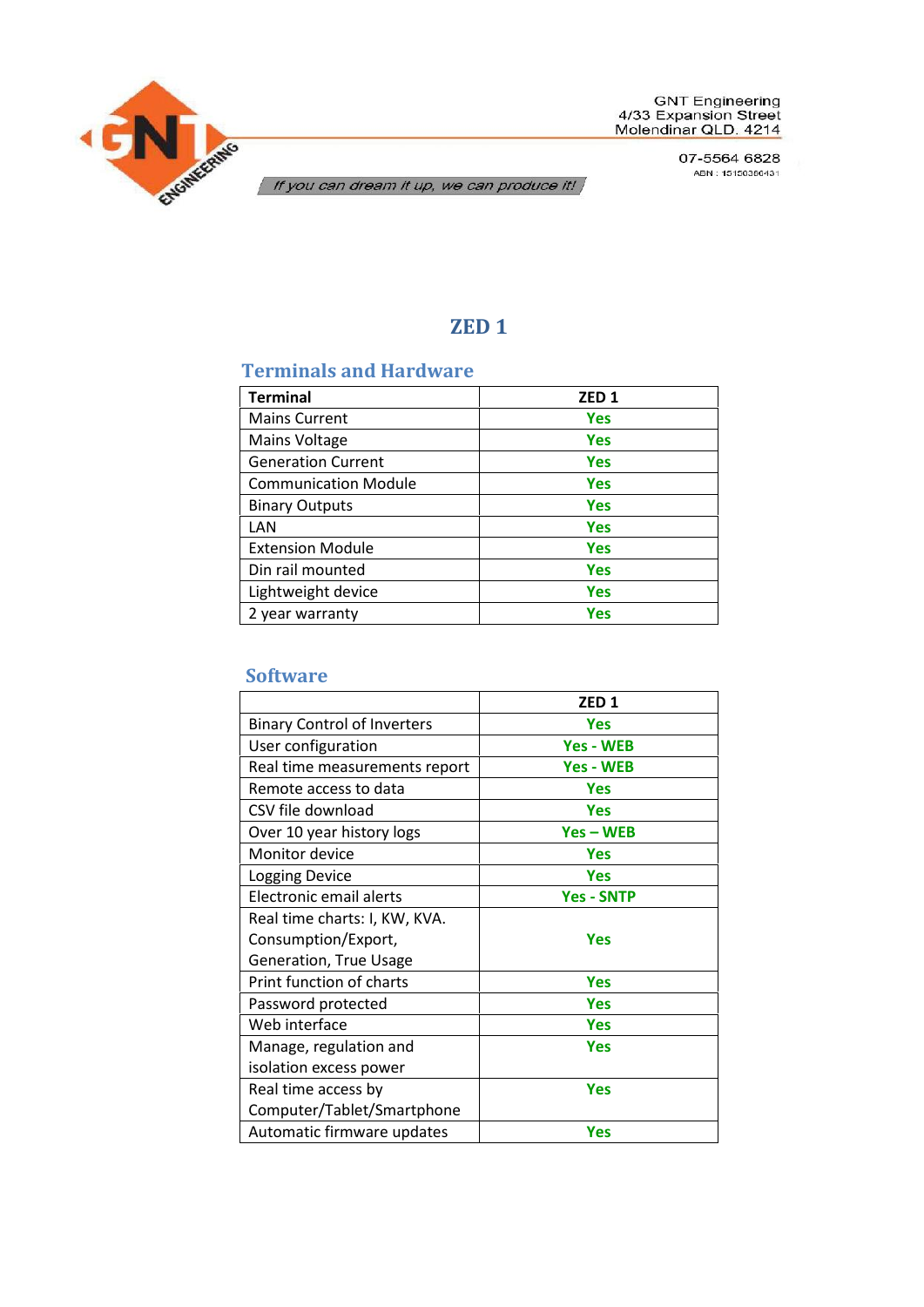

07-5564 6828 ABN: 15150386431

If you can dream it up, we can produce it!

# **ZED 1**

## **Terminals and Hardware**

| <b>Terminal</b>             | ZED <sub>1</sub> |
|-----------------------------|------------------|
| <b>Mains Current</b>        | <b>Yes</b>       |
| Mains Voltage               | <b>Yes</b>       |
| <b>Generation Current</b>   | <b>Yes</b>       |
| <b>Communication Module</b> | <b>Yes</b>       |
| <b>Binary Outputs</b>       | <b>Yes</b>       |
| LAN                         | <b>Yes</b>       |
| <b>Extension Module</b>     | <b>Yes</b>       |
| Din rail mounted            | <b>Yes</b>       |
| Lightweight device          | <b>Yes</b>       |
| 2 year warranty             | Yes              |

#### **Software**

|                                    | ZED <sub>1</sub>  |
|------------------------------------|-------------------|
| <b>Binary Control of Inverters</b> | <b>Yes</b>        |
| User configuration                 | <b>Yes - WEB</b>  |
| Real time measurements report      | <b>Yes - WEB</b>  |
| Remote access to data              | <b>Yes</b>        |
| CSV file download                  | <b>Yes</b>        |
| Over 10 year history logs          | $Yes - WEB$       |
| Monitor device                     | <b>Yes</b>        |
| <b>Logging Device</b>              | <b>Yes</b>        |
| Electronic email alerts            | <b>Yes - SNTP</b> |
| Real time charts: I, KW, KVA.      |                   |
| Consumption/Export,                | <b>Yes</b>        |
| Generation, True Usage             |                   |
| Print function of charts           | <b>Yes</b>        |
| Password protected                 | <b>Yes</b>        |
| Web interface                      | <b>Yes</b>        |
| Manage, regulation and             | Yes               |
| isolation excess power             |                   |
| Real time access by                | <b>Yes</b>        |
| Computer/Tablet/Smartphone         |                   |
| Automatic firmware updates         | <b>Yes</b>        |